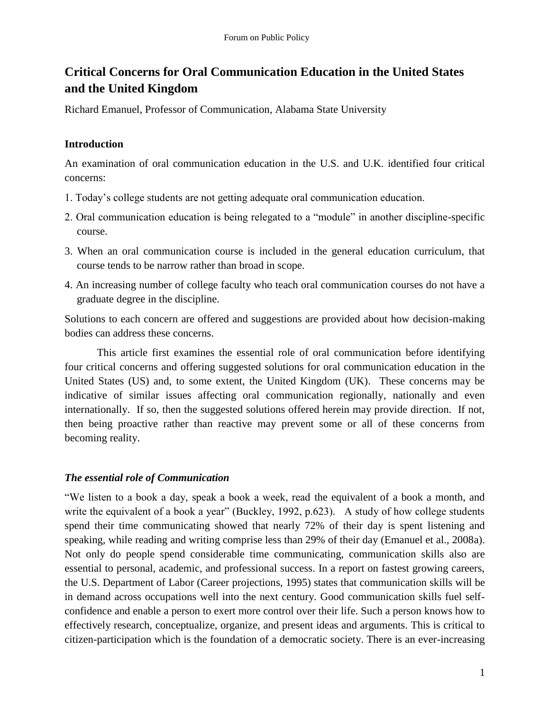# **Critical Concerns for Oral Communication Education in the United States and the United Kingdom**

Richard Emanuel, Professor of Communication, Alabama State University

## **Introduction**

An examination of oral communication education in the U.S. and U.K. identified four critical concerns:

- 1. Today's college students are not getting adequate oral communication education.
- 2. Oral communication education is being relegated to a "module" in another discipline-specific course.
- 3. When an oral communication course is included in the general education curriculum, that course tends to be narrow rather than broad in scope.
- 4. An increasing number of college faculty who teach oral communication courses do not have a graduate degree in the discipline.

Solutions to each concern are offered and suggestions are provided about how decision-making bodies can address these concerns.

This article first examines the essential role of oral communication before identifying four critical concerns and offering suggested solutions for oral communication education in the United States (US) and, to some extent, the United Kingdom (UK). These concerns may be indicative of similar issues affecting oral communication regionally, nationally and even internationally. If so, then the suggested solutions offered herein may provide direction. If not, then being proactive rather than reactive may prevent some or all of these concerns from becoming reality.

# *The essential role of Communication*

―We listen to a book a day, speak a book a week, read the equivalent of a book a month, and write the equivalent of a book a year" (Buckley, 1992, p.623). A study of how college students spend their time communicating showed that nearly 72% of their day is spent listening and speaking, while reading and writing comprise less than 29% of their day (Emanuel et al., 2008a). Not only do people spend considerable time communicating, communication skills also are essential to personal, academic, and professional success. In a report on fastest growing careers, the U.S. Department of Labor (Career projections, 1995) states that communication skills will be in demand across occupations well into the next century. Good communication skills fuel selfconfidence and enable a person to exert more control over their life. Such a person knows how to effectively research, conceptualize, organize, and present ideas and arguments. This is critical to citizen-participation which is the foundation of a democratic society. There is an ever-increasing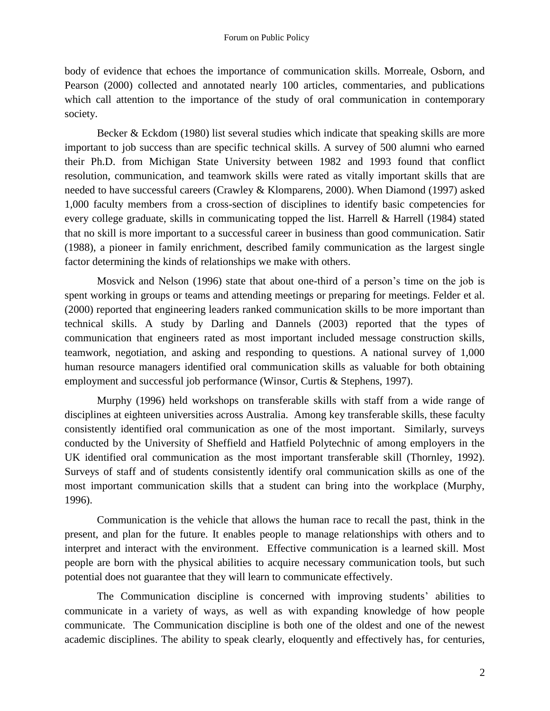body of evidence that echoes the importance of communication skills. Morreale, Osborn, and Pearson (2000) collected and annotated nearly 100 articles, commentaries, and publications which call attention to the importance of the study of oral communication in contemporary society.

Becker & Eckdom (1980) list several studies which indicate that speaking skills are more important to job success than are specific technical skills. A survey of 500 alumni who earned their Ph.D. from Michigan State University between 1982 and 1993 found that conflict resolution, communication, and teamwork skills were rated as vitally important skills that are needed to have successful careers (Crawley & Klomparens, 2000). When Diamond (1997) asked 1,000 faculty members from a cross-section of disciplines to identify basic competencies for every college graduate, skills in communicating topped the list. Harrell & Harrell (1984) stated that no skill is more important to a successful career in business than good communication. Satir (1988), a pioneer in family enrichment, described family communication as the largest single factor determining the kinds of relationships we make with others.

Mosvick and Nelson (1996) state that about one-third of a person's time on the job is spent working in groups or teams and attending meetings or preparing for meetings. Felder et al. (2000) reported that engineering leaders ranked communication skills to be more important than technical skills. A study by Darling and Dannels (2003) reported that the types of communication that engineers rated as most important included message construction skills, teamwork, negotiation, and asking and responding to questions. A national survey of 1,000 human resource managers identified oral communication skills as valuable for both obtaining employment and successful job performance (Winsor, Curtis & Stephens, 1997).

Murphy (1996) held workshops on transferable skills with staff from a wide range of disciplines at eighteen universities across Australia. Among key transferable skills, these faculty consistently identified oral communication as one of the most important. Similarly, surveys conducted by the University of Sheffield and Hatfield Polytechnic of among employers in the UK identified oral communication as the most important transferable skill (Thornley, 1992). Surveys of staff and of students consistently identify oral communication skills as one of the most important communication skills that a student can bring into the workplace (Murphy, 1996).

Communication is the vehicle that allows the human race to recall the past, think in the present, and plan for the future. It enables people to manage relationships with others and to interpret and interact with the environment. Effective communication is a learned skill. Most people are born with the physical abilities to acquire necessary communication tools, but such potential does not guarantee that they will learn to communicate effectively.

The Communication discipline is concerned with improving students' abilities to communicate in a variety of ways, as well as with expanding knowledge of how people communicate. The Communication discipline is both one of the oldest and one of the newest academic disciplines. The ability to speak clearly, eloquently and effectively has, for centuries,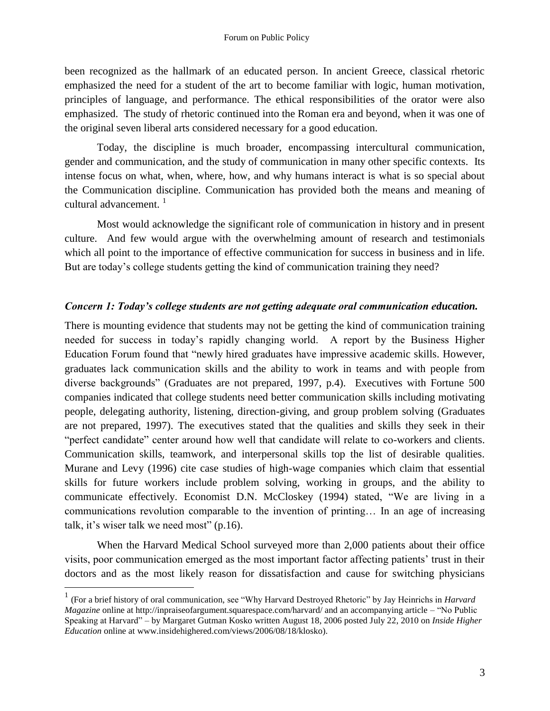been recognized as the hallmark of an educated person. In ancient Greece, classical rhetoric emphasized the need for a student of the art to become familiar with logic, human motivation, principles of language, and performance. The ethical responsibilities of the orator were also emphasized. The study of rhetoric continued into the Roman era and beyond, when it was one of the original seven liberal arts considered necessary for a good education.

Today, the discipline is much broader, encompassing intercultural communication, gender and communication, and the study of communication in many other specific contexts. Its intense focus on what, when, where, how, and why humans interact is what is so special about the Communication discipline. Communication has provided both the means and meaning of cultural advancement.  $\frac{1}{1}$ 

Most would acknowledge the significant role of communication in history and in present culture. And few would argue with the overwhelming amount of research and testimonials which all point to the importance of effective communication for success in business and in life. But are today's college students getting the kind of communication training they need?

#### *Concern 1: Today's college students are not getting adequate oral communication education.*

There is mounting evidence that students may not be getting the kind of communication training needed for success in today's rapidly changing world. A report by the Business Higher Education Forum found that "newly hired graduates have impressive academic skills. However, graduates lack communication skills and the ability to work in teams and with people from diverse backgrounds" (Graduates are not prepared, 1997, p.4). Executives with Fortune 500 companies indicated that college students need better communication skills including motivating people, delegating authority, listening, direction-giving, and group problem solving (Graduates are not prepared, 1997). The executives stated that the qualities and skills they seek in their "perfect candidate" center around how well that candidate will relate to co-workers and clients. Communication skills, teamwork, and interpersonal skills top the list of desirable qualities. Murane and Levy (1996) cite case studies of high-wage companies which claim that essential skills for future workers include problem solving, working in groups, and the ability to communicate effectively. Economist D.N. McCloskey (1994) stated, "We are living in a communications revolution comparable to the invention of printing… In an age of increasing talk, it's wiser talk we need most"  $(p.16)$ .

When the Harvard Medical School surveyed more than 2,000 patients about their office visits, poor communication emerged as the most important factor affecting patients' trust in their doctors and as the most likely reason for dissatisfaction and cause for switching physicians

 $\overline{a}$ 

<sup>&</sup>lt;sup>1</sup> (For a brief history of oral communication, see "Why Harvard Destroyed Rhetoric" by Jay Heinrichs in *Harvard Magazine* online at http://inpraiseofargument.squarespace.com/harvard/ and an accompanying article – "No Public Speaking at Harvard‖ – by Margaret Gutman Kosko written August 18, 2006 posted July 22, 2010 on *Inside Higher Education* online at www.insidehighered.com/views/2006/08/18/klosko).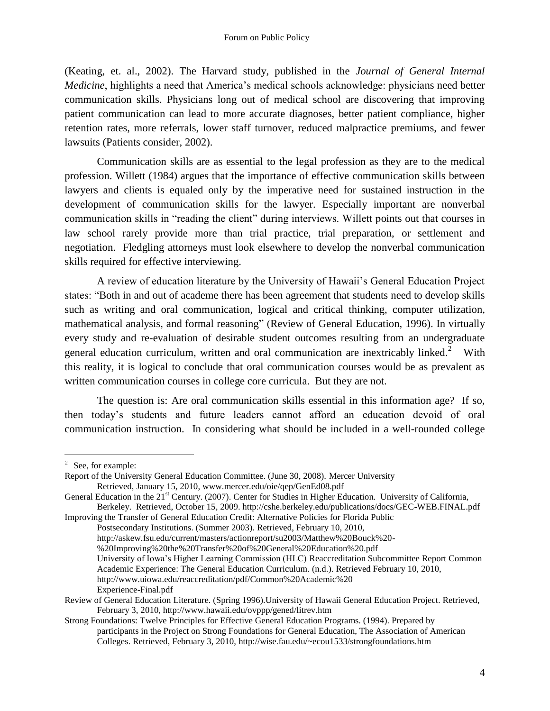(Keating, et. al., 2002). The Harvard study, published in the *Journal of General Internal Medicine*, highlights a need that America's medical schools acknowledge: physicians need better communication skills. Physicians long out of medical school are discovering that improving patient communication can lead to more accurate diagnoses, better patient compliance, higher retention rates, more referrals, lower staff turnover, reduced malpractice premiums, and fewer lawsuits (Patients consider, 2002).

Communication skills are as essential to the legal profession as they are to the medical profession. Willett (1984) argues that the importance of effective communication skills between lawyers and clients is equaled only by the imperative need for sustained instruction in the development of communication skills for the lawyer. Especially important are nonverbal communication skills in "reading the client" during interviews. Willett points out that courses in law school rarely provide more than trial practice, trial preparation, or settlement and negotiation. Fledgling attorneys must look elsewhere to develop the nonverbal communication skills required for effective interviewing.

A review of education literature by the University of Hawaii's General Education Project states: "Both in and out of academe there has been agreement that students need to develop skills such as writing and oral communication, logical and critical thinking, computer utilization, mathematical analysis, and formal reasoning" (Review of General Education, 1996). In virtually every study and re-evaluation of desirable student outcomes resulting from an undergraduate general education curriculum, written and oral communication are inextricably linked.<sup>2</sup> With this reality, it is logical to conclude that oral communication courses would be as prevalent as written communication courses in college core curricula. But they are not.

The question is: Are oral communication skills essential in this information age? If so, then today's students and future leaders cannot afford an education devoid of oral communication instruction. In considering what should be included in a well-rounded college

 $\overline{a}$ 

Improving the Transfer of General Education Credit: Alternative Policies for Florida Public Postsecondary Institutions. (Summer 2003). Retrieved, February 10, 2010,

- http://askew.fsu.edu/current/masters/actionreport/su2003/Matthew%20Bouck%20-
- %20Improving%20the%20Transfer%20of%20General%20Education%20.pdf

University of Iowa's Higher Learning Commission (HLC) Reaccreditation Subcommittee Report Common Academic Experience: The General Education Curriculum. (n.d.). Retrieved February 10, 2010, http://www.uiowa.edu/reaccreditation/pdf/Common%20Academic%20 Experience-Final.pdf

<sup>2</sup> See, for example:

Report of the University General Education Committee. (June 30, 2008). Mercer University Retrieved, January 15, 2010, www.mercer.edu/oie/qep/GenEd08.pdf

General Education in the  $21<sup>st</sup>$  Century. (2007). Center for Studies in Higher Education. University of California, Berkeley. Retrieved, October 15, 2009. http://cshe.berkeley.edu/publications/docs/GEC-WEB.FINAL.pdf

Review of General Education Literature. (Spring 1996).University of Hawaii General Education Project. Retrieved, February 3, 2010, http://www.hawaii.edu/ovppp/gened/litrev.htm

Strong Foundations: Twelve Principles for Effective General Education Programs. (1994). Prepared by participants in the Project on Strong Foundations for General Education, The Association of American Colleges. Retrieved, February 3, 2010, http://wise.fau.edu/~ecou1533/strongfoundations.htm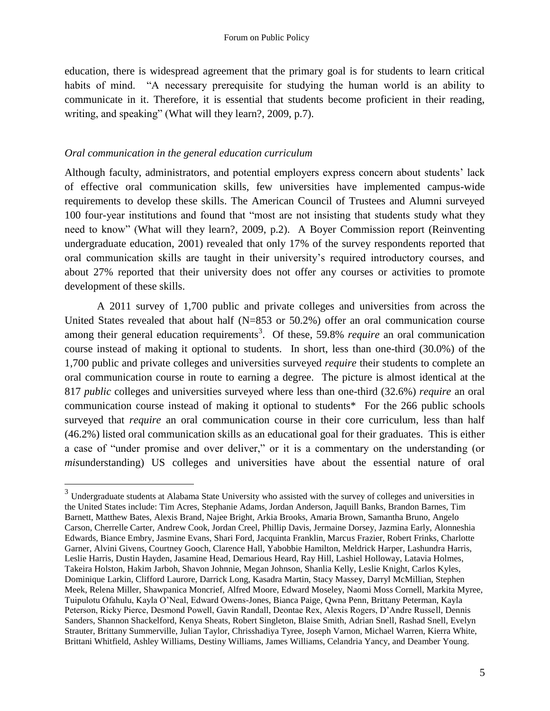education, there is widespread agreement that the primary goal is for students to learn critical habits of mind. "A necessary prerequisite for studying the human world is an ability to communicate in it. Therefore, it is essential that students become proficient in their reading, writing, and speaking" (What will they learn?, 2009, p.7).

#### *Oral communication in the general education curriculum*

 $\overline{a}$ 

Although faculty, administrators, and potential employers express concern about students' lack of effective oral communication skills, few universities have implemented campus-wide requirements to develop these skills. The American Council of Trustees and Alumni surveyed 100 four-year institutions and found that "most are not insisting that students study what they need to know" (What will they learn?, 2009, p.2). A Boyer Commission report (Reinventing undergraduate education, 2001) revealed that only 17% of the survey respondents reported that oral communication skills are taught in their university's required introductory courses, and about 27% reported that their university does not offer any courses or activities to promote development of these skills.

A 2011 survey of 1,700 public and private colleges and universities from across the United States revealed that about half (N=853 or 50.2%) offer an oral communication course among their general education requirements<sup>3</sup>. Of these, 59.8% *require* an oral communication course instead of making it optional to students. In short, less than one-third (30.0%) of the 1,700 public and private colleges and universities surveyed *require* their students to complete an oral communication course in route to earning a degree. The picture is almost identical at the 817 *public* colleges and universities surveyed where less than one-third (32.6%) *require* an oral communication course instead of making it optional to students\* For the 266 public schools surveyed that *require* an oral communication course in their core curriculum, less than half (46.2%) listed oral communication skills as an educational goal for their graduates. This is either a case of "under promise and over deliver," or it is a commentary on the understanding (or *mis*understanding) US colleges and universities have about the essential nature of oral

 $3 \text{ Undergraduate students at Alabama State University who assisted with the survey of colleges and universities in }$ the United States include: Tim Acres, Stephanie Adams, Jordan Anderson, Jaquill Banks, Brandon Barnes, Tim Barnett, Matthew Bates, Alexis Brand, Najee Bright, Arkia Brooks, Amaria Brown, Samantha Bruno, Angelo Carson, Cherrelle Carter, Andrew Cook, Jordan Creel, Phillip Davis, Jermaine Dorsey, Jazmina Early, Alonneshia Edwards, Biance Embry, Jasmine Evans, Shari Ford, Jacquinta Franklin, Marcus Frazier, Robert Frinks, Charlotte Garner, Alvini Givens, Courtney Gooch, Clarence Hall, Yabobbie Hamilton, Meldrick Harper, Lashundra Harris, Leslie Harris, Dustin Hayden, Jasamine Head, Demarious Heard, Ray Hill, Lashiel Holloway, Latavia Holmes, Takeira Holston, Hakim Jarboh, Shavon Johnnie, Megan Johnson, Shanlia Kelly, Leslie Knight, Carlos Kyles, Dominique Larkin, Clifford Laurore, Darrick Long, Kasadra Martin, Stacy Massey, Darryl McMillian, Stephen Meek, Relena Miller, Shawpanica Moncrief, Alfred Moore, Edward Moseley, Naomi Moss Cornell, Markita Myree, Tuipulotu Ofahulu, Kayla O'Neal, Edward Owens-Jones, Bianca Paige, Qwna Penn, Brittany Peterman, Kayla Peterson, Ricky Pierce, Desmond Powell, Gavin Randall, Deontae Rex, Alexis Rogers, D'Andre Russell, Dennis Sanders, Shannon Shackelford, Kenya Sheats, Robert Singleton, Blaise Smith, Adrian Snell, Rashad Snell, Evelyn Strauter, Brittany Summerville, Julian Taylor, Chrisshadiya Tyree, Joseph Varnon, Michael Warren, Kierra White, Brittani Whitfield, Ashley Williams, Destiny Williams, James Williams, Celandria Yancy, and Deamber Young.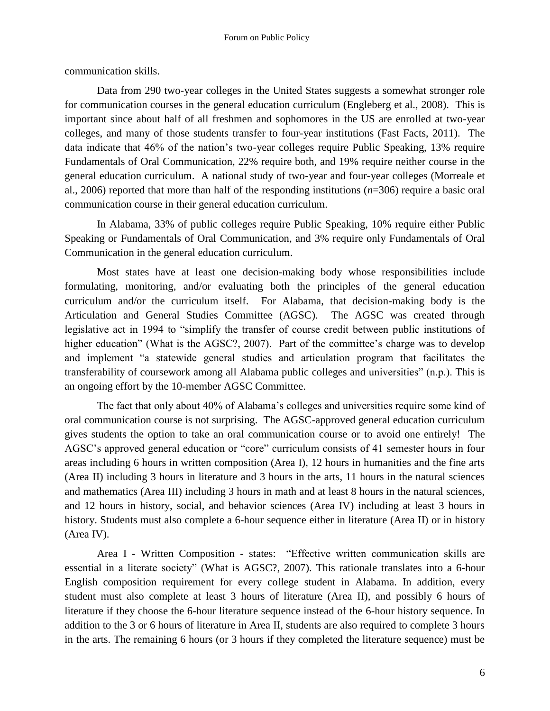communication skills.

Data from 290 two-year colleges in the United States suggests a somewhat stronger role for communication courses in the general education curriculum (Engleberg et al., 2008). This is important since about half of all freshmen and sophomores in the US are enrolled at two-year colleges, and many of those students transfer to four-year institutions (Fast Facts, 2011). The data indicate that 46% of the nation's two-year colleges require Public Speaking, 13% require Fundamentals of Oral Communication, 22% require both, and 19% require neither course in the general education curriculum. A national study of two-year and four-year colleges (Morreale et al., 2006) reported that more than half of the responding institutions (*n*=306) require a basic oral communication course in their general education curriculum.

In Alabama, 33% of public colleges require Public Speaking, 10% require either Public Speaking or Fundamentals of Oral Communication, and 3% require only Fundamentals of Oral Communication in the general education curriculum.

Most states have at least one decision-making body whose responsibilities include formulating, monitoring, and/or evaluating both the principles of the general education curriculum and/or the curriculum itself. For Alabama, that decision-making body is the Articulation and General Studies Committee (AGSC). The AGSC was created through legislative act in 1994 to "simplify the transfer of course credit between public institutions of higher education" (What is the AGSC?, 2007). Part of the committee's charge was to develop and implement "a statewide general studies and articulation program that facilitates the transferability of coursework among all Alabama public colleges and universities" (n.p.). This is an ongoing effort by the 10-member AGSC Committee.

The fact that only about 40% of Alabama's colleges and universities require some kind of oral communication course is not surprising. The AGSC-approved general education curriculum gives students the option to take an oral communication course or to avoid one entirely! The AGSC's approved general education or "core" curriculum consists of 41 semester hours in four areas including 6 hours in written composition (Area I), 12 hours in humanities and the fine arts (Area II) including 3 hours in literature and 3 hours in the arts, 11 hours in the natural sciences and mathematics (Area III) including 3 hours in math and at least 8 hours in the natural sciences, and 12 hours in history, social, and behavior sciences (Area IV) including at least 3 hours in history. Students must also complete a 6-hour sequence either in literature (Area II) or in history (Area IV).

Area I - Written Composition - states: "Effective written communication skills are essential in a literate society" (What is AGSC?, 2007). This rationale translates into a 6-hour English composition requirement for every college student in Alabama. In addition, every student must also complete at least 3 hours of literature (Area II), and possibly 6 hours of literature if they choose the 6-hour literature sequence instead of the 6-hour history sequence. In addition to the 3 or 6 hours of literature in Area II, students are also required to complete 3 hours in the arts. The remaining 6 hours (or 3 hours if they completed the literature sequence) must be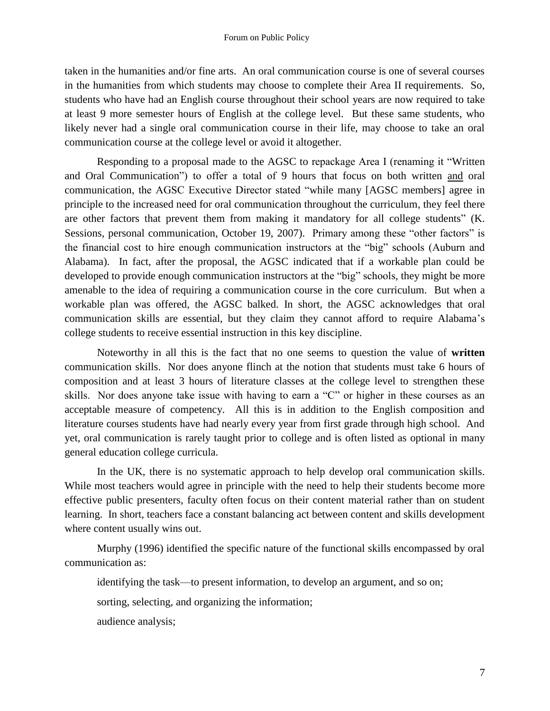taken in the humanities and/or fine arts. An oral communication course is one of several courses in the humanities from which students may choose to complete their Area II requirements. So, students who have had an English course throughout their school years are now required to take at least 9 more semester hours of English at the college level. But these same students, who likely never had a single oral communication course in their life, may choose to take an oral communication course at the college level or avoid it altogether.

Responding to a proposal made to the AGSC to repackage Area I (renaming it "Written and Oral Communication") to offer a total of 9 hours that focus on both written and oral communication, the AGSC Executive Director stated "while many [AGSC members] agree in principle to the increased need for oral communication throughout the curriculum, they feel there are other factors that prevent them from making it mandatory for all college students" (K. Sessions, personal communication, October 19, 2007). Primary among these "other factors" is the financial cost to hire enough communication instructors at the "big" schools (Auburn and Alabama). In fact, after the proposal, the AGSC indicated that if a workable plan could be developed to provide enough communication instructors at the "big" schools, they might be more amenable to the idea of requiring a communication course in the core curriculum. But when a workable plan was offered, the AGSC balked. In short, the AGSC acknowledges that oral communication skills are essential, but they claim they cannot afford to require Alabama's college students to receive essential instruction in this key discipline.

Noteworthy in all this is the fact that no one seems to question the value of **written** communication skills. Nor does anyone flinch at the notion that students must take 6 hours of composition and at least 3 hours of literature classes at the college level to strengthen these skills. Nor does anyone take issue with having to earn a  $°C$  or higher in these courses as an acceptable measure of competency. All this is in addition to the English composition and literature courses students have had nearly every year from first grade through high school. And yet, oral communication is rarely taught prior to college and is often listed as optional in many general education college curricula.

In the UK, there is no systematic approach to help develop oral communication skills. While most teachers would agree in principle with the need to help their students become more effective public presenters, faculty often focus on their content material rather than on student learning. In short, teachers face a constant balancing act between content and skills development where content usually wins out.

Murphy (1996) identified the specific nature of the functional skills encompassed by oral communication as:

identifying the task—to present information, to develop an argument, and so on;

sorting, selecting, and organizing the information;

audience analysis;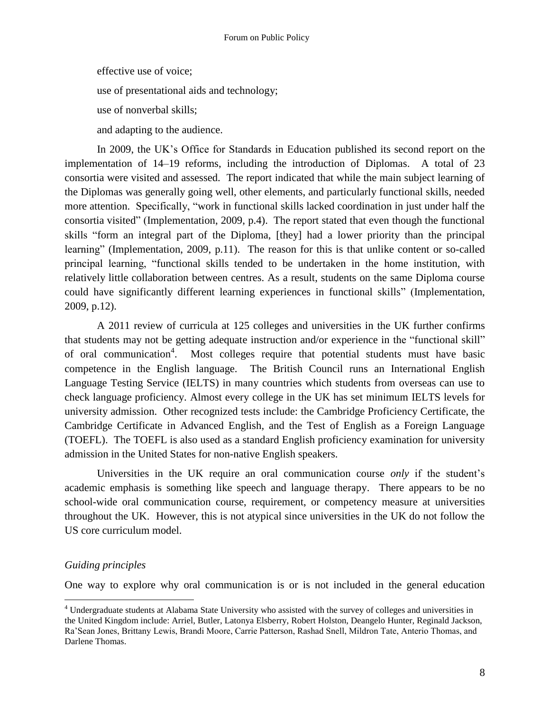effective use of voice; use of presentational aids and technology;

use of nonverbal skills;

and adapting to the audience.

In 2009, the UK's Office for Standards in Education published its second report on the implementation of 14–19 reforms, including the introduction of Diplomas. A total of 23 consortia were visited and assessed. The report indicated that while the main subject learning of the Diplomas was generally going well, other elements, and particularly functional skills, needed more attention. Specifically, "work in functional skills lacked coordination in just under half the consortia visited" (Implementation, 2009, p.4). The report stated that even though the functional skills "form an integral part of the Diploma, [they] had a lower priority than the principal learning" (Implementation, 2009, p.11). The reason for this is that unlike content or so-called principal learning, "functional skills tended to be undertaken in the home institution, with relatively little collaboration between centres. As a result, students on the same Diploma course could have significantly different learning experiences in functional skills" (Implementation, 2009, p.12).

A 2011 review of curricula at 125 colleges and universities in the UK further confirms that students may not be getting adequate instruction and/or experience in the "functional skill" of oral communication<sup>4</sup>. Most colleges require that potential students must have basic competence in the English language. The British Council runs an International English Language Testing Service (IELTS) in many countries which students from overseas can use to check language proficiency. Almost every college in the UK has set minimum IELTS levels for university admission. Other recognized tests include: the Cambridge Proficiency Certificate, the Cambridge Certificate in Advanced English, and the Test of English as a Foreign Language (TOEFL). The TOEFL is also used as a standard English proficiency examination for university admission in the United States for non-native English speakers.

Universities in the UK require an oral communication course *only* if the student's academic emphasis is something like speech and language therapy. There appears to be no school-wide oral communication course, requirement, or competency measure at universities throughout the UK. However, this is not atypical since universities in the UK do not follow the US core curriculum model.

## *Guiding principles*

 $\overline{a}$ 

One way to explore why oral communication is or is not included in the general education

<sup>4</sup> Undergraduate students at Alabama State University who assisted with the survey of colleges and universities in the United Kingdom include: Arriel, Butler, Latonya Elsberry, Robert Holston, Deangelo Hunter, Reginald Jackson, Ra'Sean Jones, Brittany Lewis, Brandi Moore, Carrie Patterson, Rashad Snell, Mildron Tate, Anterio Thomas, and Darlene Thomas.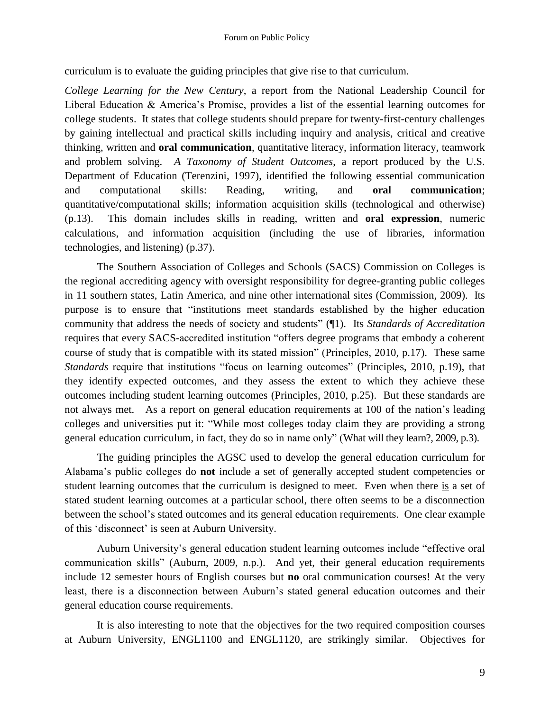curriculum is to evaluate the guiding principles that give rise to that curriculum.

*College Learning for the New Century*, a report from the National Leadership Council for Liberal Education & America's Promise, provides a list of the essential learning outcomes for college students. It states that college students should prepare for twenty-first-century challenges by gaining intellectual and practical skills including inquiry and analysis, critical and creative thinking, written and **oral communication**, quantitative literacy, information literacy, teamwork and problem solving. *A Taxonomy of Student Outcomes*, a report produced by the U.S. Department of Education (Terenzini, 1997), identified the following essential communication and computational skills: Reading, writing, and **oral communication**; quantitative/computational skills; information acquisition skills (technological and otherwise) (p.13). This domain includes skills in reading, written and **oral expression**, numeric calculations, and information acquisition (including the use of libraries, information technologies, and listening) (p.37).

The Southern Association of Colleges and Schools (SACS) Commission on Colleges is the regional accrediting agency with oversight responsibility for degree-granting public colleges in 11 southern states, Latin America, and nine other international sites (Commission, 2009). Its purpose is to ensure that "institutions meet standards established by the higher education community that address the needs of society and students" (¶1). Its *Standards of Accreditation* requires that every SACS-accredited institution "offers degree programs that embody a coherent course of study that is compatible with its stated mission" (Principles, 2010, p.17). These same *Standards* require that institutions "focus on learning outcomes" (Principles, 2010, p.19), that they identify expected outcomes, and they assess the extent to which they achieve these outcomes including student learning outcomes (Principles, 2010, p.25). But these standards are not always met. As a report on general education requirements at 100 of the nation's leading colleges and universities put it: "While most colleges today claim they are providing a strong general education curriculum, in fact, they do so in name only" (What will they learn?, 2009, p.3).

The guiding principles the AGSC used to develop the general education curriculum for Alabama's public colleges do **not** include a set of generally accepted student competencies or student learning outcomes that the curriculum is designed to meet. Even when there is a set of stated student learning outcomes at a particular school, there often seems to be a disconnection between the school's stated outcomes and its general education requirements. One clear example of this 'disconnect' is seen at Auburn University.

Auburn University's general education student learning outcomes include "effective oral communication skills" (Auburn, 2009, n.p.). And yet, their general education requirements include 12 semester hours of English courses but **no** oral communication courses! At the very least, there is a disconnection between Auburn's stated general education outcomes and their general education course requirements.

It is also interesting to note that the objectives for the two required composition courses at Auburn University, ENGL1100 and ENGL1120, are strikingly similar. Objectives for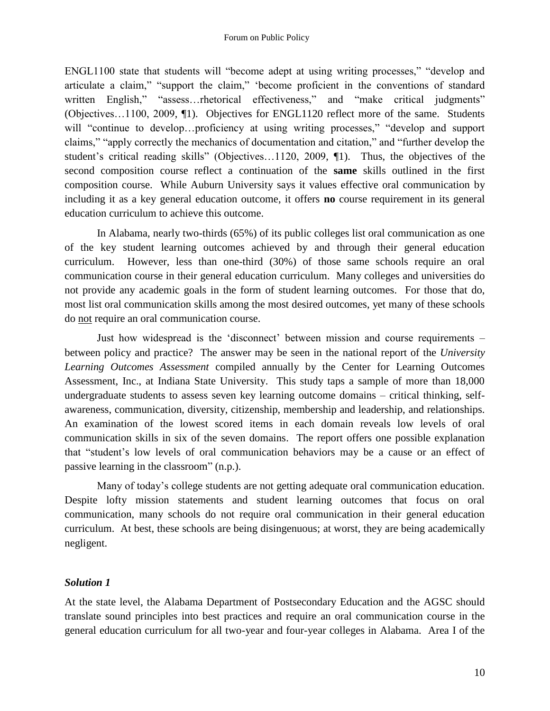ENGL1100 state that students will "become adept at using writing processes," "develop and articulate a claim," "support the claim," 'become proficient in the conventions of standard written English," "assess...rhetorical effectiveness," and "make critical judgments" (Objectives…1100, 2009, ¶1). Objectives for ENGL1120 reflect more of the same. Students will "continue to develop...proficiency at using writing processes," "develop and support claims," "apply correctly the mechanics of documentation and citation," and "further develop the student's critical reading skills" (Objectives...1120, 2009,  $\P$ 1). Thus, the objectives of the second composition course reflect a continuation of the **same** skills outlined in the first composition course. While Auburn University says it values effective oral communication by including it as a key general education outcome, it offers **no** course requirement in its general education curriculum to achieve this outcome.

In Alabama, nearly two-thirds (65%) of its public colleges list oral communication as one of the key student learning outcomes achieved by and through their general education curriculum. However, less than one-third (30%) of those same schools require an oral communication course in their general education curriculum. Many colleges and universities do not provide any academic goals in the form of student learning outcomes. For those that do, most list oral communication skills among the most desired outcomes, yet many of these schools do not require an oral communication course.

Just how widespread is the 'disconnect' between mission and course requirements – between policy and practice? The answer may be seen in the national report of the *University Learning Outcomes Assessment* compiled annually by the Center for Learning Outcomes Assessment, Inc., at Indiana State University. This study taps a sample of more than 18,000 undergraduate students to assess seven key learning outcome domains – critical thinking, selfawareness, communication, diversity, citizenship, membership and leadership, and relationships. An examination of the lowest scored items in each domain reveals low levels of oral communication skills in six of the seven domains. The report offers one possible explanation that "student's low levels of oral communication behaviors may be a cause or an effect of passive learning in the classroom" (n.p.).

Many of today's college students are not getting adequate oral communication education. Despite lofty mission statements and student learning outcomes that focus on oral communication, many schools do not require oral communication in their general education curriculum. At best, these schools are being disingenuous; at worst, they are being academically negligent.

# *Solution 1*

At the state level, the Alabama Department of Postsecondary Education and the AGSC should translate sound principles into best practices and require an oral communication course in the general education curriculum for all two-year and four-year colleges in Alabama. Area I of the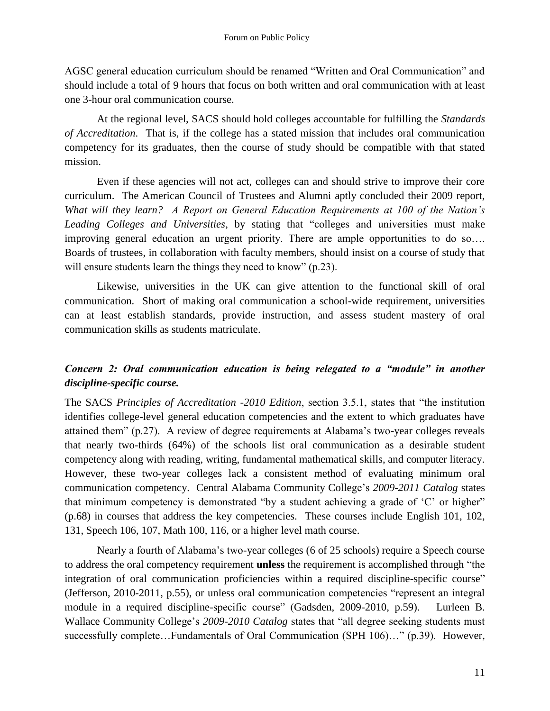AGSC general education curriculum should be renamed "Written and Oral Communication" and should include a total of 9 hours that focus on both written and oral communication with at least one 3-hour oral communication course.

At the regional level, SACS should hold colleges accountable for fulfilling the *Standards of Accreditation*. That is, if the college has a stated mission that includes oral communication competency for its graduates, then the course of study should be compatible with that stated mission.

Even if these agencies will not act, colleges can and should strive to improve their core curriculum. The American Council of Trustees and Alumni aptly concluded their 2009 report, *What will they learn? A Report on General Education Requirements at 100 of the Nation's*  Leading Colleges and Universities, by stating that "colleges and universities must make improving general education an urgent priority. There are ample opportunities to do so…. Boards of trustees, in collaboration with faculty members, should insist on a course of study that will ensure students learn the things they need to know"  $(p.23)$ .

Likewise, universities in the UK can give attention to the functional skill of oral communication. Short of making oral communication a school-wide requirement, universities can at least establish standards, provide instruction, and assess student mastery of oral communication skills as students matriculate.

# *Concern 2: Oral communication education is being relegated to a "module" in another discipline-specific course.*

The SACS *Principles of Accreditation -2010 Edition*, section 3.5.1, states that "the institution" identifies college-level general education competencies and the extent to which graduates have attained them" (p.27). A review of degree requirements at Alabama's two-year colleges reveals that nearly two-thirds (64%) of the schools list oral communication as a desirable student competency along with reading, writing, fundamental mathematical skills, and computer literacy. However, these two-year colleges lack a consistent method of evaluating minimum oral communication competency. Central Alabama Community College's *2009-2011 Catalog* states that minimum competency is demonstrated "by a student achieving a grade of  $\degree$ C' or higher" (p.68) in courses that address the key competencies. These courses include English 101, 102, 131, Speech 106, 107, Math 100, 116, or a higher level math course.

Nearly a fourth of Alabama's two-year colleges (6 of 25 schools) require a Speech course to address the oral competency requirement **unless** the requirement is accomplished through "the integration of oral communication proficiencies within a required discipline-specific course" (Jefferson, 2010-2011, p.55), or unless oral communication competencies "represent an integral module in a required discipline-specific course" (Gadsden, 2009-2010, p.59). Lurleen B. Wallace Community College's 2009-2010 Catalog states that "all degree seeking students must successfully complete...Fundamentals of Oral Communication (SPH 106)..." (p.39). However,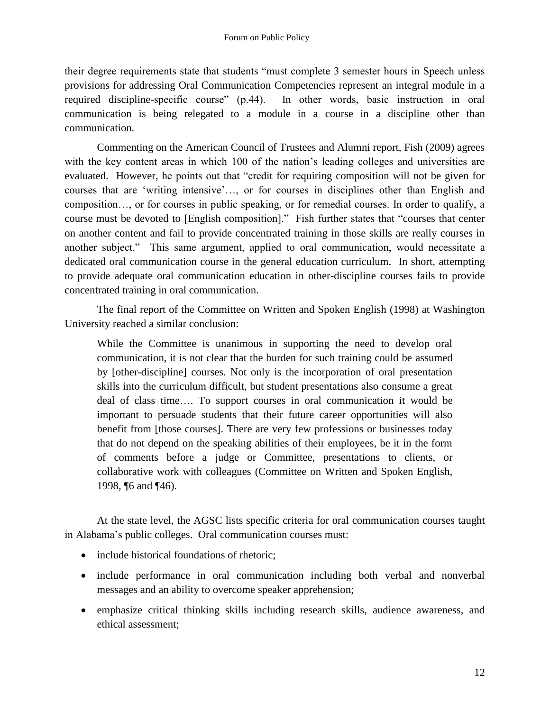their degree requirements state that students "must complete 3 semester hours in Speech unless provisions for addressing Oral Communication Competencies represent an integral module in a required discipline-specific course" (p.44). In other words, basic instruction in oral communication is being relegated to a module in a course in a discipline other than communication.

Commenting on the American Council of Trustees and Alumni report, Fish (2009) agrees with the key content areas in which 100 of the nation's leading colleges and universities are evaluated. However, he points out that "credit for requiring composition will not be given for courses that are ‗writing intensive'…, or for courses in disciplines other than English and composition…, or for courses in public speaking, or for remedial courses. In order to qualify, a course must be devoted to [English composition]." Fish further states that "courses that center on another content and fail to provide concentrated training in those skills are really courses in another subject." This same argument, applied to oral communication, would necessitate a dedicated oral communication course in the general education curriculum. In short, attempting to provide adequate oral communication education in other-discipline courses fails to provide concentrated training in oral communication.

The final report of the Committee on Written and Spoken English (1998) at Washington University reached a similar conclusion:

While the Committee is unanimous in supporting the need to develop oral communication, it is not clear that the burden for such training could be assumed by [other-discipline] courses. Not only is the incorporation of oral presentation skills into the curriculum difficult, but student presentations also consume a great deal of class time…. To support courses in oral communication it would be important to persuade students that their future career opportunities will also benefit from [those courses]. There are very few professions or businesses today that do not depend on the speaking abilities of their employees, be it in the form of comments before a judge or Committee, presentations to clients, or collaborative work with colleagues (Committee on Written and Spoken English, 1998, ¶6 and ¶46).

At the state level, the AGSC lists specific criteria for oral communication courses taught in Alabama's public colleges. Oral communication courses must:

- include historical foundations of rhetoric:
- include performance in oral communication including both verbal and nonverbal messages and an ability to overcome speaker apprehension;
- emphasize critical thinking skills including research skills, audience awareness, and ethical assessment;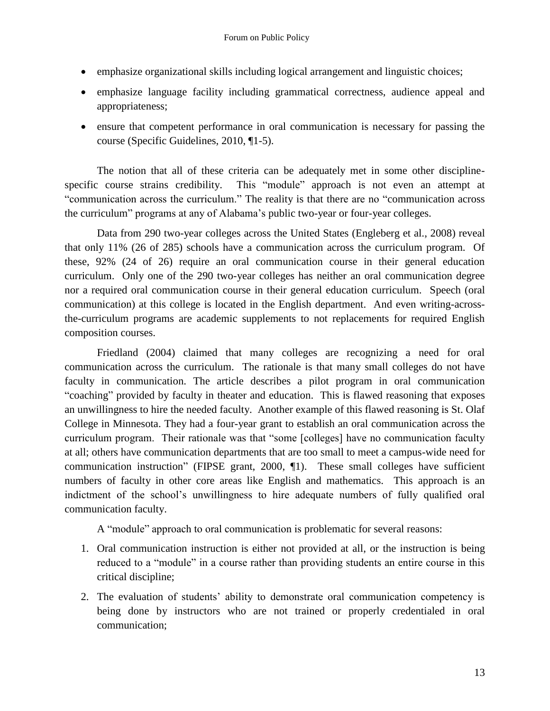- emphasize organizational skills including logical arrangement and linguistic choices;
- emphasize language facility including grammatical correctness, audience appeal and appropriateness;
- ensure that competent performance in oral communication is necessary for passing the course (Specific Guidelines, 2010, ¶1-5).

The notion that all of these criteria can be adequately met in some other disciplinespecific course strains credibility. This "module" approach is not even an attempt at "communication across the curriculum." The reality is that there are no "communication across the curriculum" programs at any of Alabama's public two-year or four-year colleges.

Data from 290 two-year colleges across the United States (Engleberg et al., 2008) reveal that only 11% (26 of 285) schools have a communication across the curriculum program. Of these, 92% (24 of 26) require an oral communication course in their general education curriculum. Only one of the 290 two-year colleges has neither an oral communication degree nor a required oral communication course in their general education curriculum. Speech (oral communication) at this college is located in the English department. And even writing-acrossthe-curriculum programs are academic supplements to not replacements for required English composition courses.

Friedland (2004) claimed that many colleges are recognizing a need for oral communication across the curriculum. The rationale is that many small colleges do not have faculty in communication. The article describes a pilot program in oral communication "coaching" provided by faculty in theater and education. This is flawed reasoning that exposes an unwillingness to hire the needed faculty. Another example of this flawed reasoning is St. Olaf College in Minnesota. They had a four-year grant to establish an oral communication across the curriculum program. Their rationale was that "some [colleges] have no communication faculty at all; others have communication departments that are too small to meet a campus-wide need for communication instruction" (FIPSE grant, 2000,  $\P$ 1). These small colleges have sufficient numbers of faculty in other core areas like English and mathematics. This approach is an indictment of the school's unwillingness to hire adequate numbers of fully qualified oral communication faculty.

A "module" approach to oral communication is problematic for several reasons:

- 1. Oral communication instruction is either not provided at all, or the instruction is being reduced to a "module" in a course rather than providing students an entire course in this critical discipline;
- 2. The evaluation of students' ability to demonstrate oral communication competency is being done by instructors who are not trained or properly credentialed in oral communication;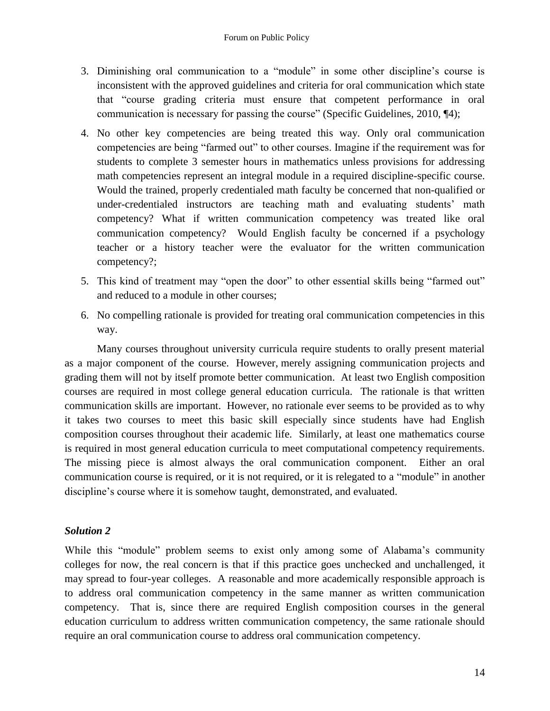- 3. Diminishing oral communication to a "module" in some other discipline's course is inconsistent with the approved guidelines and criteria for oral communication which state that "course grading criteria must ensure that competent performance in oral communication is necessary for passing the course" (Specific Guidelines,  $2010$ ,  $\P$ 4);
- 4. No other key competencies are being treated this way. Only oral communication competencies are being "farmed out" to other courses. Imagine if the requirement was for students to complete 3 semester hours in mathematics unless provisions for addressing math competencies represent an integral module in a required discipline-specific course. Would the trained, properly credentialed math faculty be concerned that non-qualified or under-credentialed instructors are teaching math and evaluating students' math competency? What if written communication competency was treated like oral communication competency? Would English faculty be concerned if a psychology teacher or a history teacher were the evaluator for the written communication competency?;
- 5. This kind of treatment may "open the door" to other essential skills being "farmed out" and reduced to a module in other courses;
- 6. No compelling rationale is provided for treating oral communication competencies in this way.

Many courses throughout university curricula require students to orally present material as a major component of the course. However, merely assigning communication projects and grading them will not by itself promote better communication. At least two English composition courses are required in most college general education curricula. The rationale is that written communication skills are important. However, no rationale ever seems to be provided as to why it takes two courses to meet this basic skill especially since students have had English composition courses throughout their academic life. Similarly, at least one mathematics course is required in most general education curricula to meet computational competency requirements. The missing piece is almost always the oral communication component. Either an oral communication course is required, or it is not required, or it is relegated to a "module" in another discipline's course where it is somehow taught, demonstrated, and evaluated.

## *Solution 2*

While this "module" problem seems to exist only among some of Alabama's community colleges for now, the real concern is that if this practice goes unchecked and unchallenged, it may spread to four-year colleges. A reasonable and more academically responsible approach is to address oral communication competency in the same manner as written communication competency. That is, since there are required English composition courses in the general education curriculum to address written communication competency, the same rationale should require an oral communication course to address oral communication competency.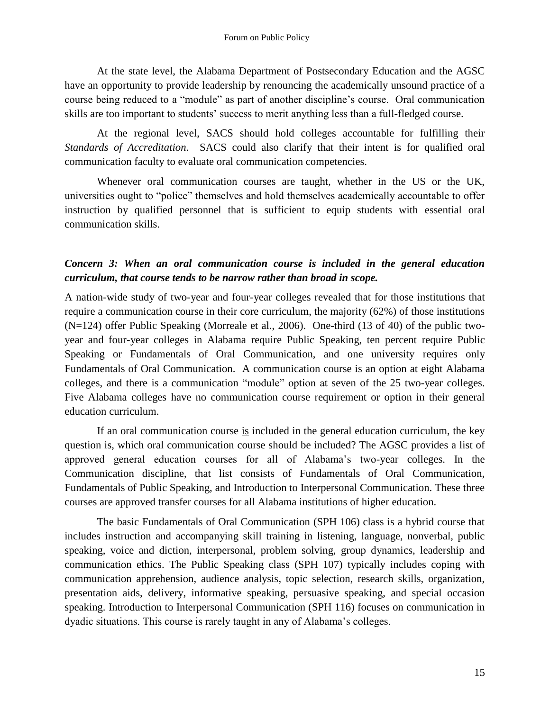At the state level, the Alabama Department of Postsecondary Education and the AGSC have an opportunity to provide leadership by renouncing the academically unsound practice of a course being reduced to a "module" as part of another discipline's course. Oral communication skills are too important to students' success to merit anything less than a full-fledged course.

At the regional level, SACS should hold colleges accountable for fulfilling their *Standards of Accreditation*. SACS could also clarify that their intent is for qualified oral communication faculty to evaluate oral communication competencies.

Whenever oral communication courses are taught, whether in the US or the UK, universities ought to "police" themselves and hold themselves academically accountable to offer instruction by qualified personnel that is sufficient to equip students with essential oral communication skills.

## *Concern 3: When an oral communication course is included in the general education curriculum, that course tends to be narrow rather than broad in scope.*

A nation-wide study of two-year and four-year colleges revealed that for those institutions that require a communication course in their core curriculum, the majority (62%) of those institutions (N=124) offer Public Speaking (Morreale et al., 2006). One-third (13 of 40) of the public twoyear and four-year colleges in Alabama require Public Speaking, ten percent require Public Speaking or Fundamentals of Oral Communication, and one university requires only Fundamentals of Oral Communication. A communication course is an option at eight Alabama colleges, and there is a communication "module" option at seven of the 25 two-year colleges. Five Alabama colleges have no communication course requirement or option in their general education curriculum.

If an oral communication course is included in the general education curriculum, the key question is, which oral communication course should be included? The AGSC provides a list of approved general education courses for all of Alabama's two-year colleges. In the Communication discipline, that list consists of Fundamentals of Oral Communication, Fundamentals of Public Speaking, and Introduction to Interpersonal Communication. These three courses are approved transfer courses for all Alabama institutions of higher education.

The basic Fundamentals of Oral Communication (SPH 106) class is a hybrid course that includes instruction and accompanying skill training in listening, language, nonverbal, public speaking, voice and diction, interpersonal, problem solving, group dynamics, leadership and communication ethics. The Public Speaking class (SPH 107) typically includes coping with communication apprehension, audience analysis, topic selection, research skills, organization, presentation aids, delivery, informative speaking, persuasive speaking, and special occasion speaking. Introduction to Interpersonal Communication (SPH 116) focuses on communication in dyadic situations. This course is rarely taught in any of Alabama's colleges.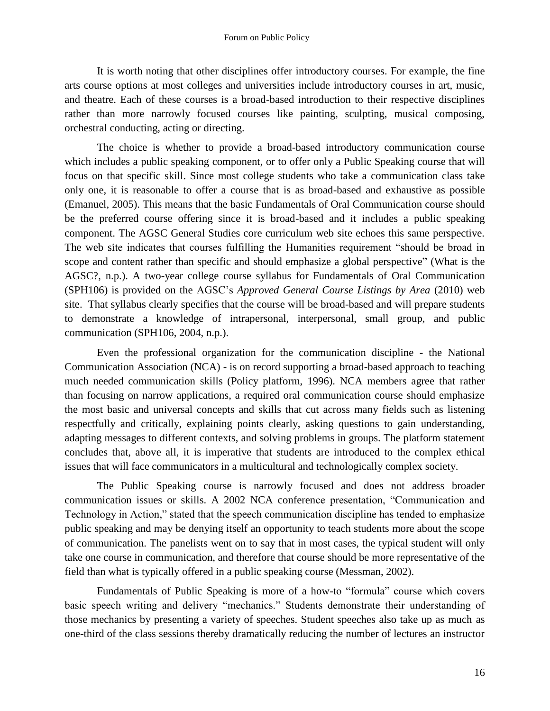It is worth noting that other disciplines offer introductory courses. For example, the fine arts course options at most colleges and universities include introductory courses in art, music, and theatre. Each of these courses is a broad-based introduction to their respective disciplines rather than more narrowly focused courses like painting, sculpting, musical composing, orchestral conducting, acting or directing.

The choice is whether to provide a broad-based introductory communication course which includes a public speaking component, or to offer only a Public Speaking course that will focus on that specific skill. Since most college students who take a communication class take only one, it is reasonable to offer a course that is as broad-based and exhaustive as possible (Emanuel, 2005). This means that the basic Fundamentals of Oral Communication course should be the preferred course offering since it is broad-based and it includes a public speaking component. The AGSC General Studies core curriculum web site echoes this same perspective. The web site indicates that courses fulfilling the Humanities requirement "should be broad in scope and content rather than specific and should emphasize a global perspective" (What is the AGSC?, n.p.). A two-year college course syllabus for Fundamentals of Oral Communication (SPH106) is provided on the AGSC's *Approved General Course Listings by Area* (2010) web site. That syllabus clearly specifies that the course will be broad-based and will prepare students to demonstrate a knowledge of intrapersonal, interpersonal, small group, and public communication (SPH106, 2004, n.p.).

Even the professional organization for the communication discipline - the National Communication Association (NCA) - is on record supporting a broad-based approach to teaching much needed communication skills (Policy platform, 1996). NCA members agree that rather than focusing on narrow applications, a required oral communication course should emphasize the most basic and universal concepts and skills that cut across many fields such as listening respectfully and critically, explaining points clearly, asking questions to gain understanding, adapting messages to different contexts, and solving problems in groups. The platform statement concludes that, above all, it is imperative that students are introduced to the complex ethical issues that will face communicators in a multicultural and technologically complex society.

The Public Speaking course is narrowly focused and does not address broader communication issues or skills. A 2002 NCA conference presentation, "Communication and Technology in Action," stated that the speech communication discipline has tended to emphasize public speaking and may be denying itself an opportunity to teach students more about the scope of communication. The panelists went on to say that in most cases, the typical student will only take one course in communication, and therefore that course should be more representative of the field than what is typically offered in a public speaking course (Messman, 2002).

Fundamentals of Public Speaking is more of a how-to "formula" course which covers basic speech writing and delivery "mechanics." Students demonstrate their understanding of those mechanics by presenting a variety of speeches. Student speeches also take up as much as one-third of the class sessions thereby dramatically reducing the number of lectures an instructor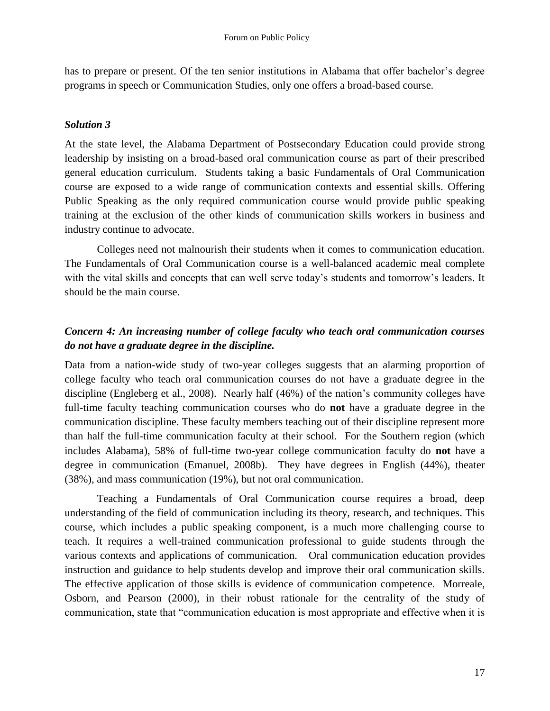has to prepare or present. Of the ten senior institutions in Alabama that offer bachelor's degree programs in speech or Communication Studies, only one offers a broad-based course.

### *Solution 3*

At the state level, the Alabama Department of Postsecondary Education could provide strong leadership by insisting on a broad-based oral communication course as part of their prescribed general education curriculum. Students taking a basic Fundamentals of Oral Communication course are exposed to a wide range of communication contexts and essential skills. Offering Public Speaking as the only required communication course would provide public speaking training at the exclusion of the other kinds of communication skills workers in business and industry continue to advocate.

Colleges need not malnourish their students when it comes to communication education. The Fundamentals of Oral Communication course is a well-balanced academic meal complete with the vital skills and concepts that can well serve today's students and tomorrow's leaders. It should be the main course.

# *Concern 4: An increasing number of college faculty who teach oral communication courses do not have a graduate degree in the discipline.*

Data from a nation-wide study of two-year colleges suggests that an alarming proportion of college faculty who teach oral communication courses do not have a graduate degree in the discipline (Engleberg et al., 2008). Nearly half (46%) of the nation's community colleges have full-time faculty teaching communication courses who do **not** have a graduate degree in the communication discipline. These faculty members teaching out of their discipline represent more than half the full-time communication faculty at their school. For the Southern region (which includes Alabama), 58% of full-time two-year college communication faculty do **not** have a degree in communication (Emanuel, 2008b). They have degrees in English (44%), theater (38%), and mass communication (19%), but not oral communication.

Teaching a Fundamentals of Oral Communication course requires a broad, deep understanding of the field of communication including its theory, research, and techniques. This course, which includes a public speaking component, is a much more challenging course to teach. It requires a well-trained communication professional to guide students through the various contexts and applications of communication. Oral communication education provides instruction and guidance to help students develop and improve their oral communication skills. The effective application of those skills is evidence of communication competence. Morreale, Osborn, and Pearson (2000), in their robust rationale for the centrality of the study of communication, state that "communication education is most appropriate and effective when it is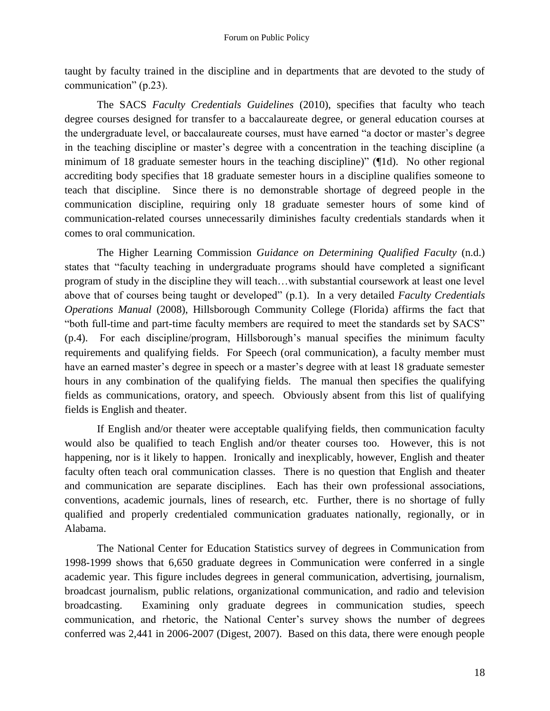taught by faculty trained in the discipline and in departments that are devoted to the study of communication"  $(p.23)$ .

The SACS *Faculty Credentials Guidelines* (2010), specifies that faculty who teach degree courses designed for transfer to a baccalaureate degree, or general education courses at the undergraduate level, or baccalaureate courses, must have earned "a doctor or master's degree in the teaching discipline or master's degree with a concentration in the teaching discipline (a minimum of 18 graduate semester hours in the teaching discipline)"  $($  $\parallel$ 1d). No other regional accrediting body specifies that 18 graduate semester hours in a discipline qualifies someone to teach that discipline. Since there is no demonstrable shortage of degreed people in the communication discipline, requiring only 18 graduate semester hours of some kind of communication-related courses unnecessarily diminishes faculty credentials standards when it comes to oral communication.

The Higher Learning Commission *Guidance on Determining Qualified Faculty* (n.d.) states that "faculty teaching in undergraduate programs should have completed a significant program of study in the discipline they will teach…with substantial coursework at least one level above that of courses being taught or developed" (p.1). In a very detailed *Faculty Credentials Operations Manual* (2008), Hillsborough Community College (Florida) affirms the fact that "both full-time and part-time faculty members are required to meet the standards set by SACS" (p.4). For each discipline/program, Hillsborough's manual specifies the minimum faculty requirements and qualifying fields. For Speech (oral communication), a faculty member must have an earned master's degree in speech or a master's degree with at least 18 graduate semester hours in any combination of the qualifying fields. The manual then specifies the qualifying fields as communications, oratory, and speech. Obviously absent from this list of qualifying fields is English and theater.

If English and/or theater were acceptable qualifying fields, then communication faculty would also be qualified to teach English and/or theater courses too. However, this is not happening, nor is it likely to happen. Ironically and inexplicably, however, English and theater faculty often teach oral communication classes. There is no question that English and theater and communication are separate disciplines. Each has their own professional associations, conventions, academic journals, lines of research, etc. Further, there is no shortage of fully qualified and properly credentialed communication graduates nationally, regionally, or in Alabama.

The National Center for Education Statistics survey of degrees in Communication from 1998-1999 shows that 6,650 graduate degrees in Communication were conferred in a single academic year. This figure includes degrees in general communication, advertising, journalism, broadcast journalism, public relations, organizational communication, and radio and television broadcasting. Examining only graduate degrees in communication studies, speech communication, and rhetoric, the National Center's survey shows the number of degrees conferred was 2,441 in 2006-2007 (Digest, 2007). Based on this data, there were enough people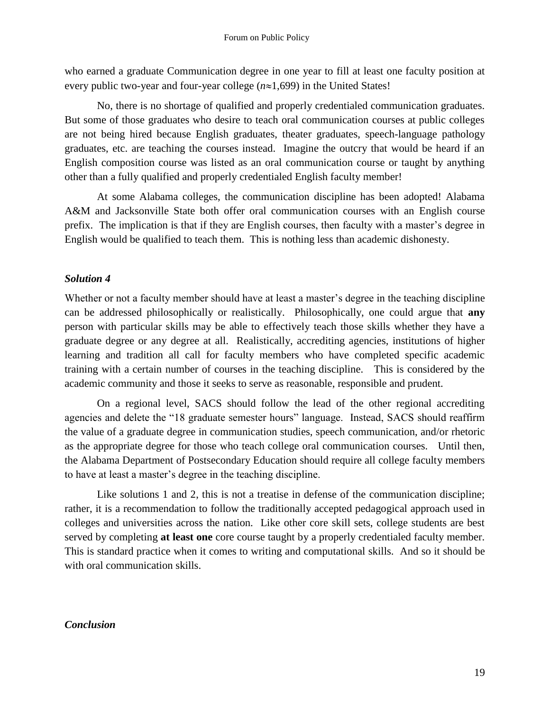who earned a graduate Communication degree in one year to fill at least one faculty position at every public two-year and four-year college  $(n \approx 1,699)$  in the United States!

No, there is no shortage of qualified and properly credentialed communication graduates. But some of those graduates who desire to teach oral communication courses at public colleges are not being hired because English graduates, theater graduates, speech-language pathology graduates, etc. are teaching the courses instead. Imagine the outcry that would be heard if an English composition course was listed as an oral communication course or taught by anything other than a fully qualified and properly credentialed English faculty member!

At some Alabama colleges, the communication discipline has been adopted! Alabama A&M and Jacksonville State both offer oral communication courses with an English course prefix. The implication is that if they are English courses, then faculty with a master's degree in English would be qualified to teach them. This is nothing less than academic dishonesty.

#### *Solution 4*

Whether or not a faculty member should have at least a master's degree in the teaching discipline can be addressed philosophically or realistically. Philosophically, one could argue that **any** person with particular skills may be able to effectively teach those skills whether they have a graduate degree or any degree at all. Realistically, accrediting agencies, institutions of higher learning and tradition all call for faculty members who have completed specific academic training with a certain number of courses in the teaching discipline. This is considered by the academic community and those it seeks to serve as reasonable, responsible and prudent.

On a regional level, SACS should follow the lead of the other regional accrediting agencies and delete the "18 graduate semester hours" language. Instead, SACS should reaffirm the value of a graduate degree in communication studies, speech communication, and/or rhetoric as the appropriate degree for those who teach college oral communication courses. Until then, the Alabama Department of Postsecondary Education should require all college faculty members to have at least a master's degree in the teaching discipline.

Like solutions 1 and 2, this is not a treatise in defense of the communication discipline; rather, it is a recommendation to follow the traditionally accepted pedagogical approach used in colleges and universities across the nation. Like other core skill sets, college students are best served by completing **at least one** core course taught by a properly credentialed faculty member. This is standard practice when it comes to writing and computational skills. And so it should be with oral communication skills.

#### *Conclusion*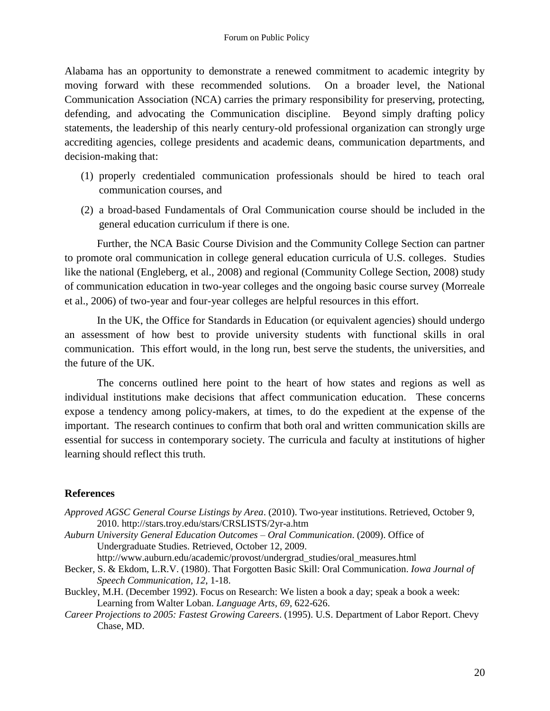Alabama has an opportunity to demonstrate a renewed commitment to academic integrity by moving forward with these recommended solutions. On a broader level, the National Communication Association (NCA) carries the primary responsibility for preserving, protecting, defending, and advocating the Communication discipline. Beyond simply drafting policy statements, the leadership of this nearly century-old professional organization can strongly urge accrediting agencies, college presidents and academic deans, communication departments, and decision-making that:

- (1) properly credentialed communication professionals should be hired to teach oral communication courses, and
- (2) a broad-based Fundamentals of Oral Communication course should be included in the general education curriculum if there is one.

Further, the NCA Basic Course Division and the Community College Section can partner to promote oral communication in college general education curricula of U.S. colleges. Studies like the national (Engleberg, et al., 2008) and regional (Community College Section, 2008) study of communication education in two-year colleges and the ongoing basic course survey (Morreale et al., 2006) of two-year and four-year colleges are helpful resources in this effort.

In the UK, the Office for Standards in Education (or equivalent agencies) should undergo an assessment of how best to provide university students with functional skills in oral communication. This effort would, in the long run, best serve the students, the universities, and the future of the UK.

The concerns outlined here point to the heart of how states and regions as well as individual institutions make decisions that affect communication education. These concerns expose a tendency among policy-makers, at times, to do the expedient at the expense of the important. The research continues to confirm that both oral and written communication skills are essential for success in contemporary society. The curricula and faculty at institutions of higher learning should reflect this truth.

#### **References**

*Approved AGSC General Course Listings by Area*. (2010). Two-year institutions. Retrieved, October 9, 2010. http://stars.troy.edu/stars/CRSLISTS/2yr-a.htm

*Auburn University General Education Outcomes – Oral Communication*. (2009). Office of Undergraduate Studies. Retrieved, October 12, 2009.

http://www.auburn.edu/academic/provost/undergrad\_studies/oral\_measures.html

- Becker, S. & Ekdom, L.R.V. (1980). That Forgotten Basic Skill: Oral Communication. *Iowa Journal of Speech Communication, 12*, 1-18.
- Buckley, M.H. (December 1992). Focus on Research: We listen a book a day; speak a book a week: Learning from Walter Loban. *Language Arts, 69,* 622-626.
- *Career Projections to 2005: Fastest Growing Careers*. (1995). U.S. Department of Labor Report. Chevy Chase, MD.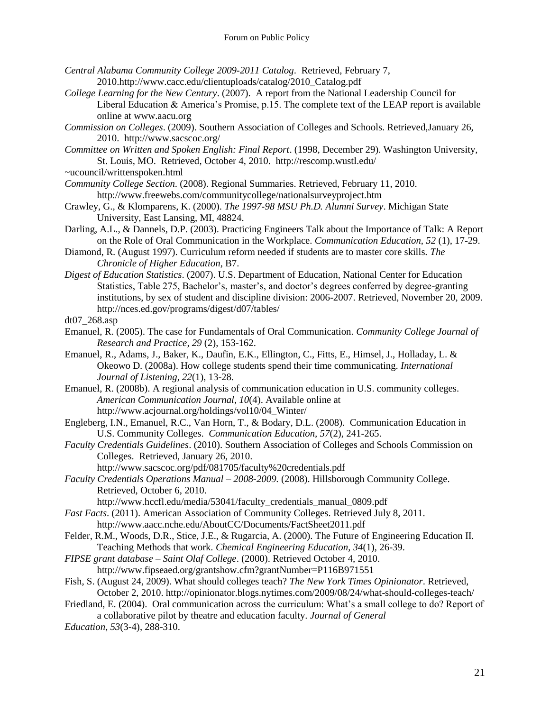- *Central Alabama Community College 2009-2011 Catalog*. Retrieved, February 7, 2010.http://www.cacc.edu/clientuploads/catalog/2010\_Catalog.pdf
- *College Learning for the New Century*. (2007).A report from the National Leadership Council for Liberal Education  $\&$  America's Promise, p.15. The complete text of the LEAP report is available online at www.aacu.org
- *Commission on Colleges*. (2009). Southern Association of Colleges and Schools. Retrieved,January 26, 2010. http://www.sacscoc.org/
- *Committee on Written and Spoken English: Final Report*. (1998, December 29). Washington University, St. Louis, MO. Retrieved, October 4, 2010. http://rescomp.wustl.edu/
- ~ucouncil/writtenspoken.html
- *Community College Section*. (2008). Regional Summaries. Retrieved, February 11, 2010. http://www.freewebs.com/communitycollege/nationalsurveyproject.htm
- Crawley, G., & Klomparens, K. (2000). *The 1997-98 MSU Ph.D. Alumni Survey*. Michigan State University, East Lansing, MI, 48824.
- Darling, A.L., & Dannels, D.P. (2003). Practicing Engineers Talk about the Importance of Talk: A Report on the Role of Oral Communication in the Workplace. *Communication Education*, *52* (1), 17-29.
- Diamond, R. (August 1997). Curriculum reform needed if students are to master core skills. *The Chronicle of Higher Education*, B7.
- *Digest of Education Statistics*. (2007). U.S. Department of Education, National Center for Education Statistics, Table 275, Bachelor's, master's, and doctor's degrees conferred by degree-granting institutions, by sex of student and discipline division: 2006-2007. Retrieved, November 20, 2009. http://nces.ed.gov/programs/digest/d07/tables/

dt07\_268.asp

- Emanuel, R. (2005). The case for Fundamentals of Oral Communication. *Community College Journal of Research and Practice, 29* (2), 153-162.
- Emanuel, R., Adams, J., Baker, K., Daufin, E.K., Ellington, C., Fitts, E., Himsel, J., Holladay, L. & Okeowo D. (2008a). How college students spend their time communicating. *International Journal of Listening, 22*(1), 13-28.
- Emanuel, R. (2008b). A regional analysis of communication education in U.S. community colleges. *American Communication Journal, 10*(4). Available online at http://www.acjournal.org/holdings/vol10/04\_Winter/
- Engleberg, I.N., Emanuel, R.C., Van Horn, T., & Bodary, D.L. (2008). Communication Education in U.S. Community Colleges. *Communication Education, 57*(2), 241-265.
- *Faculty Credentials Guidelines*. (2010). Southern Association of Colleges and Schools Commission on Colleges. Retrieved, January 26, 2010.
	- http://www.sacscoc.org/pdf/081705/faculty%20credentials.pdf
- *Faculty Credentials Operations Manual – 2008-2009.* (2008). Hillsborough Community College. Retrieved, October 6, 2010.
	- http://www.hccfl.edu/media/53041/faculty\_credentials\_manual\_0809.pdf
- *Fast Facts*. (2011). American Association of Community Colleges. Retrieved July 8, 2011. http://www.aacc.nche.edu/AboutCC/Documents/FactSheet2011.pdf
- Felder, R.M., Woods, D.R., Stice, J.E., & Rugarcia, A. (2000). The Future of Engineering Education II. Teaching Methods that work. *Chemical Engineering Education*, *34*(1), 26-39.
- *FIPSE grant database – Saint Olaf College*. (2000). Retrieved October 4, 2010. http://www.fipseaed.org/grantshow.cfm?grantNumber=P116B971551
- Fish, S. (August 24, 2009). What should colleges teach? *The New York Times Opinionator*. Retrieved, October 2, 2010. http://opinionator.blogs.nytimes.com/2009/08/24/what-should-colleges-teach/
- Friedland, E. (2004). Oral communication across the curriculum: What's a small college to do? Report of a collaborative pilot by theatre and education faculty. *Journal of General*
- *Education, 53*(3-4), 288-310.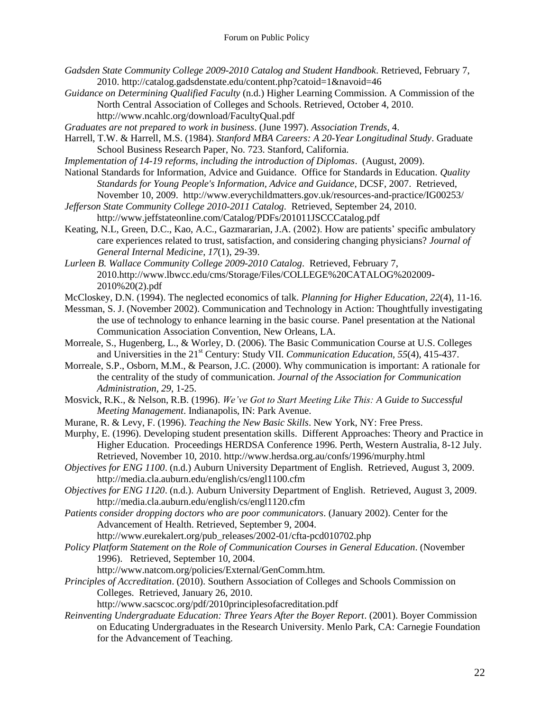- *Gadsden State Community College 2009-2010 Catalog and Student Handbook*. Retrieved, February 7, 2010. http://catalog.gadsdenstate.edu/content.php?catoid=1&navoid=46
- *Guidance on Determining Qualified Faculty* (n.d.) Higher Learning Commission. A Commission of the North Central Association of Colleges and Schools. Retrieved, October 4, 2010. http://www.ncahlc.org/download/FacultyQual.pdf
- *Graduates are not prepared to work in business*. (June 1997). *Association Trends*, 4.
- Harrell, T.W. & Harrell, M.S. (1984). *Stanford MBA Careers: A 20-Year Longitudinal Study*. Graduate School Business Research Paper, No. 723. Stanford, California.
- *Implementation of 14-19 reforms, including the introduction of Diplomas*. (August, 2009).
- National Standards for Information, Advice and Guidance. Office for Standards in Education. *Quality Standards for Young People's Information, Advice and Guidance*, DCSF, 2007. Retrieved, November 10, 2009. http://www.everychildmatters.gov.uk/resources-and-practice/IG00253/
- *Jefferson State Community College 2010-2011 Catalog*. Retrieved, September 24, 2010. http://www.jeffstateonline.com/Catalog/PDFs/201011JSCCCatalog.pdf
- Keating, N.L, Green, D.C., Kao, A.C., Gazmararian, J.A. (2002). How are patients' specific ambulatory care experiences related to trust, satisfaction, and considering changing physicians? *Journal of General Internal Medicine*, *17*(1), 29-39.
- *Lurleen B. Wallace Community College 2009-2010 Catalog*. Retrieved, February 7, 2010.http://www.lbwcc.edu/cms/Storage/Files/COLLEGE%20CATALOG%202009- 2010%20(2).pdf
- McCloskey, D.N. (1994). The neglected economics of talk. *Planning for Higher Education, 22*(4), 11-16.
- Messman, S. J. (November 2002). Communication and Technology in Action: Thoughtfully investigating the use of technology to enhance learning in the basic course. Panel presentation at the National Communication Association Convention, New Orleans, LA.
- Morreale, S., Hugenberg, L., & Worley, D. (2006). The Basic Communication Course at U.S. Colleges and Universities in the 21<sup>st</sup> Century: Study VII. *Communication Education*, 55(4), 415-437.
- Morreale, S.P., Osborn, M.M., & Pearson, J.C. (2000). Why communication is important: A rationale for the centrality of the study of communication. *Journal of the Association for Communication Administration, 29*, 1-25.
- Mosvick, R.K., & Nelson, R.B. (1996). *We've Got to Start Meeting Like This: A Guide to Successful Meeting Management*. Indianapolis, IN: Park Avenue.
- Murane, R. & Levy, F. (1996). *Teaching the New Basic Skills*. New York, NY: Free Press.
- Murphy, E. (1996). Developing student presentation skills. Different Approaches: Theory and Practice in Higher Education. Proceedings HERDSA Conference 1996. Perth, Western Australia, 8-12 July. Retrieved, November 10, 2010. http://www.herdsa.org.au/confs/1996/murphy.html
- *Objectives for ENG 1100*. (n.d.) Auburn University Department of English. Retrieved, August 3, 2009. http://media.cla.auburn.edu/english/cs/engl1100.cfm
- *Objectives for ENG 1120*. (n.d.). Auburn University Department of English. Retrieved, August 3, 2009. http://media.cla.auburn.edu/english/cs/engl1120.cfm
- *Patients consider dropping doctors who are poor communicators*. (January 2002). Center for the Advancement of Health. Retrieved, September 9, 2004.

http://www.eurekalert.org/pub\_releases/2002-01/cfta-pcd010702.php

- *Policy Platform Statement on the Role of Communication Courses in General Education*. (November 1996). Retrieved, September 10, 2004.
	- http://www.natcom.org/policies/External/GenComm.htm.
- *Principles of Accreditation*. (2010). Southern Association of Colleges and Schools Commission on Colleges. Retrieved, January 26, 2010.

http://www.sacscoc.org/pdf/2010principlesofacreditation.pdf

*Reinventing Undergraduate Education: Three Years After the Boyer Report*. (2001). Boyer Commission on Educating Undergraduates in the Research University. Menlo Park, CA: Carnegie Foundation for the Advancement of Teaching.